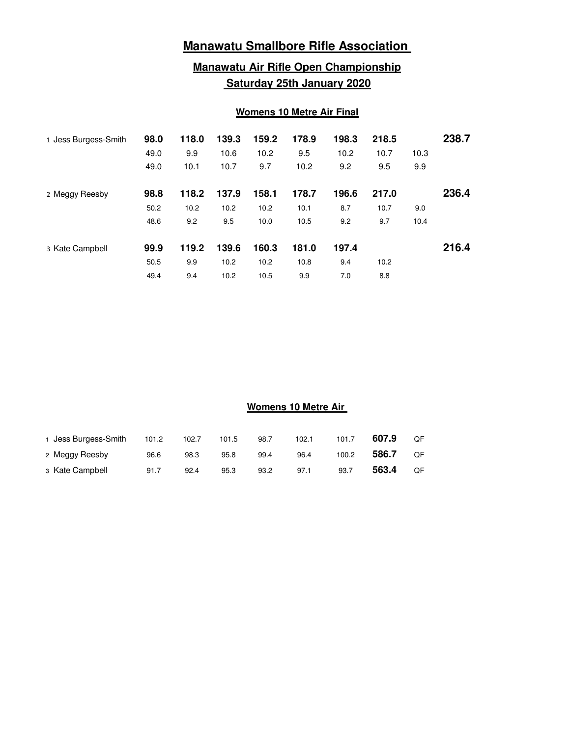# **Manawatu Smallbore Rifle Association**

## **Manawatu Air Rifle Open Championship Saturday 25th January 2020**

### **Womens 10 Metre Air Final**

| 1 Jess Burgess-Smith | 98.0<br>49.0<br>49.0 | 118.0<br>9.9<br>10.1 | 139.3<br>10.6<br>10.7 | 159.2<br>10.2<br>9.7 | 178.9<br>9.5<br>10.2 | 198.3<br>10.2<br>9.2 | 218.5<br>10.7<br>9.5 | 10.3<br>9.9 | 238.7 |
|----------------------|----------------------|----------------------|-----------------------|----------------------|----------------------|----------------------|----------------------|-------------|-------|
| 2 Meggy Reesby       | 98.8<br>50.2         | 118.2<br>10.2        | 137.9<br>10.2         | 158.1<br>10.2        | 178.7<br>10.1        | 196.6<br>8.7         | 217.0<br>10.7        | 9.0         | 236.4 |
|                      | 48.6                 | 9.2                  | 9.5                   | 10.0                 | 10.5                 | 9.2                  | 9.7                  | 10.4        |       |
| 3 Kate Campbell      | 99.9                 | 119.2                | 139.6                 | 160.3                | 181.0                | 197.4                |                      |             | 216.4 |
|                      | 50.5                 | 9.9                  | 10.2                  | 10.2                 | 10.8                 | 9.4                  | 10.2                 |             |       |
|                      | 49.4                 | 9.4                  | 10.2                  | 10.5                 | 9.9                  | 7.0                  | 8.8                  |             |       |

### **Womens 10 Metre Air**

| 1 Jess Burgess-Smith | 101.2 | 102.7 | 101.5 | 98.7 | 102.1 | 101.7 | 607.9 | OF. |
|----------------------|-------|-------|-------|------|-------|-------|-------|-----|
| 2 Meggy Reesby       | 96.6  | 98.3  | 95.8  | 99.4 | 96.4  | 100.2 | 586.7 | QF  |
| 3 Kate Campbell      | 91.7  | 92.4  | 95.3  | 93.2 | 97.1  | 93.7  | 563.4 | QF  |